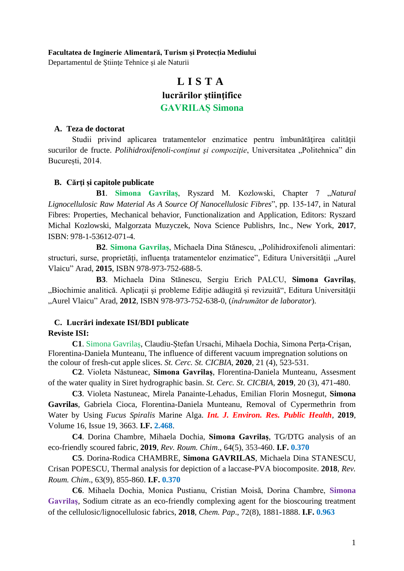# **Facultatea de Inginerie Alimentară, Turism și Protecția Mediului**

Departamentul de Ştiinţe Tehnice și ale Naturii

# **L I S T A lucrărilor ştiinţifice GAVRILAȘ Simona**

# **A. Teza de doctorat**

Studii privind aplicarea tratamentelor enzimatice pentru îmbunătățirea calității sucurilor de fructe. *Polihidroxifenoli-conținut și compoziție*, Universitatea "Politehnica" din București, 2014.

## **B. Cărţi și capitole publicate**

**B1. Simona Gavrilas, Ryszard M. Kozlowski, Chapter 7 "Natural** *Lignocellulosic Raw Material As A Source Of Nanocellulosic Fibres*", pp. 135-147, in Natural Fibres: Properties, Mechanical behavior, Functionalization and Application, Editors: Ryszard Michal Kozlowski, Malgorzata Muzyczek, Nova Science Publishrs, Inc., New York, **2017**, ISBN: 978-1-53612-071-4.

**B2**. **Simona Gavrilaș**, Michaela Dina Stănescu, "Polihidroxifenoli alimentari: structuri, surse, proprietăți, influența tratamentelor enzimatice", Editura Universității "Aurel Vlaicu" Arad, **2015**, ISBN 978-973-752-688-5.

**B3**. Michaela Dina Stănescu, Sergiu Erich PALCU, **Simona Gavrilaş**, "Biochimie analitică. Aplicații și probleme Ediție adăugită și revizuită", Editura Universității "Aurel Vlaicu" Arad, **2012**, ISBN 978-973-752-638-0, (*îndrumător de laborator*).

# **C. Lucrări indexate ISI/BDI publicate**

## **Reviste ISI:**

**C1**. Simona Gavrilaș, Claudiu-Ștefan Ursachi, Mihaela Dochia, Simona Perța-Crișan, Florentina-Daniela Munteanu, The influence of different vacuum impregnation solutions on the colour of fresh-cut apple slices. *St. Cerc. St. CICBIA*, **2020**, 21 (4), 523-531.

**C2**. Violeta Năstuneac, **Simona Gavrilaș**, Florentina-Daniela Munteanu, Assesment of the water quality in Siret hydrographic basin. *St. Cerc. St. CICBIA*, **2019**, 20 (3), 471-480.

**C3**. Violeta Nastuneac, Mirela Panainte-Lehadus, Emilian Florin Mosnegut, **Simona Gavrilas**, Gabriela Cioca, Florentina-Daniela Munteanu, Removal of Cypermethrin from Water by Using *Fucus Spiralis* Marine Alga. *Int. J. Environ. Res. Public Health*, **2019**, Volume 16, Issue 19, 3663. **I.F. 2.468**.

**C4**. Dorina Chambre, Mihaela Dochia, **Simona Gavrilaş**, TG/DTG analysis of an eco-friendly scoured fabric, **2019**, *Rev. Roum. Chim*., 64(5), 353-460. **I.F. 0.370**

**C5**. Dorina-Rodica CHAMBRE, **Simona GAVRILAS**, Michaela Dina STANESCU, Crisan POPESCU, Thermal analysis for depiction of a laccase-PVA biocomposite. **2018**, *Rev. Roum. Chim*., 63(9), 855-860. **I.F. 0.370**

**C6**. Mihaela Dochia, Monica Pustianu, Cristian Moisă, Dorina Chambre, **Simona Gavrilaş**, Sodium citrate as an eco-friendly complexing agent for the bioscouring treatment of the cellulosic/lignocellulosic fabrics, **2018**, *Chem. Pap*., 72(8), 1881-1888. **I.F. 0.963**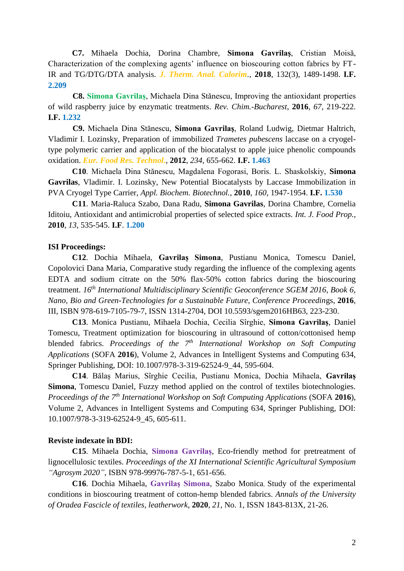**C7.** Mihaela Dochia, Dorina Chambre, **Simona Gavrilaş**, Cristian Moisă, Characterization of the complexing agents' influence on bioscouring cotton fabrics by FT-IR and TG/DTG/DTA analysis. *J. Therm. Anal. Calorim.*, **2018**, [132\(3\),](https://doi.org/10.1007/s10973-018-7089-y) 1489-1498. **I.F. 2.209**

**C8. Simona Gavrilaș**, Michaela Dina Stănescu, Improving the antioxidant properties of wild raspberry juice by enzymatic treatments. *Rev. Chim.-Bucharest*, **2016**, *67*, 219-222. **I.F. 1.232**

**C9.** Michaela Dina Stănescu, **Simona Gavrilaş**, Roland Ludwig, Dietmar Haltrich, Vladimir I. Lozinsky, Preparation of immobilized *Trametes pubescens* laccase on a cryogeltype polymeric carrier and application of the biocatalyst to apple juice phenolic compounds oxidation. *Eur. Food Res. Technol***.**, **2012**, *234*, 655-662. **I.F. 1.463**

**C10**. Michaela Dina Stănescu, Magdalena Fogorasi, Boris. L. Shaskolskiy, **Simona Gavrilas**, Vladimir. I. Lozinsky*,* New Potential Biocatalysts by Laccase Immobilization in PVA Cryogel Type Carrier, *Appl. Biochem. Biotechnol.*, **2010**, *160*, 1947-1954. **I.F. 1.530**

**C11**. Maria-Raluca Szabo, Dana Radu, **Simona Gavrilas**, Dorina Chambre, Cornelia Iditoiu, Antioxidant and antimicrobial properties of selected spice extracts. *Int. J. Food Prop.*, **2010**, *13*, 535-545. **I.F**. **1.200**

### **ISI Proceedings:**

**C12**. Dochia Mihaela, **Gavrilaș Simona**, Pustianu Monica, Tomescu Daniel, Copolovici Dana Maria, Comparative study regarding the influence of the complexing agents EDTA and sodium citrate on the 50% flax-50% cotton fabrics during the bioscouring treatment. *16th International Multidisciplinary Scientific Geoconference SGEM 2016, Book 6, Nano, Bio and Green-Technologies for a Sustainable Future, Conference Proceedings, 2016,* III, ISBN 978-619-7105-79-7, ISSN 1314-2704, DOI 10.5593/sgem2016HB63, 223-230.

**C13**. Monica Pustianu, Mihaela Dochia, Cecilia Sîrghie, **Simona Gavrilaș**, Daniel Tomescu, Treatment optimization for bioscouring in ultrasound of cotton/cottonised hemp blended fabrics. *Proceedings of the 7 th International Workshop on Soft Computing Applications* (SOFA **2016**), Volume 2, Advances in Intelligent Systems and Computing 634, Springer Publishing, DOI: 10.1007/978-3-319-62524-9\_44, 595-604.

**C14**. Bălaș Marius, Sîrghie Cecilia, Pustianu Monica, Dochia Mihaela, **Gavrilaș Simona**, Tomescu Daniel, Fuzzy method applied on the control of textiles biotechnologies. *Proceedings of the 7 th International Workshop on Soft Computing Applications* (SOFA **2016**), Volume 2, Advances in Intelligent Systems and Computing 634, Springer Publishing, DOI: 10.1007/978-3-319-62524-9\_45, 605-611.

## **Reviste indexate în BDI:**

**C15**. Mihaela Dochia, **Simona Gavrilaș**, Eco-friendly method for pretreatment of lignocellulosic textiles. *Proceedings of the XI International Scientific Agricultural Symposium "Agrosym 2020"*, ISBN 978-99976-787-5-1, 651-656.

**C16**. Dochia Mihaela, **Gavrilaş Simona**, Szabo Monica, Study of the experimental conditions in bioscouring treatment of cotton-hemp blended fabrics. *Annals of the University of Oradea Fascicle of textiles, leatherwork*, **2020**, *21*, No. 1, ISSN 1843-813X, 21-26.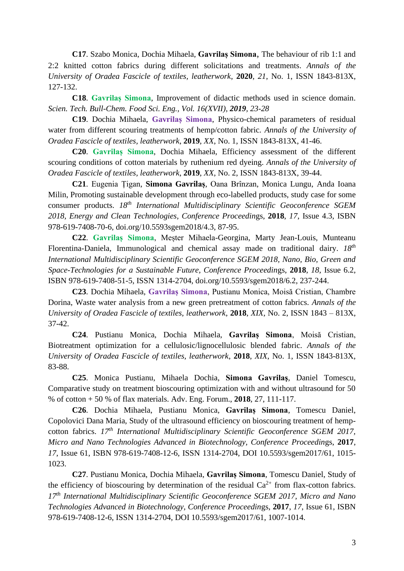**C17**. Szabo Monica, Dochia Mihaela, **Gavrilaș Simona**, The behaviour of rib 1:1 and 2:2 knitted cotton fabrics during different solicitations and treatments. *Annals of the University of Oradea Fascicle of textiles, leatherwork*, **2020**, *21*, No. 1, ISSN 1843-813X, 127-132.

**C18**. **Gavrilaș Simona**, [Improvement of didactic methods used in science domain.](https://www.uav.ro/jour/index.php/stb-cfse/article/view/1500) *Scien. Tech. Bull-Chem. Food Sci. Eng., Vol. 16(XVII), 2019, 23-28*

**C19**. Dochia Mihaela, **Gavrilaș Simona**, Physico-chemical parameters of residual water from different scouring treatments of hemp/cotton fabric. *Annals of the University of Oradea Fascicle of textiles, leatherwork*, **2019**, *XX*, No. 1, ISSN 1843-813X, 41-46.

**C20**. **Gavrilaș Simona**, Dochia Mihaela, Efficiency assessment of the different scouring conditions of cotton materials by ruthenium red dyeing. *Annals of the University of Oradea Fascicle of textiles, leatherwork*, **2019**, *XX*, No. 2, ISSN 1843-813X, 39-44.

**C21**. Eugenia Țigan, **Simona Gavrilaș**, Oana Brînzan, Monica Lungu, Anda Ioana Milin, Promoting sustainable development through eco-labelled products, study case for some consumer products. *18th International Multidisciplinary Scientific Geoconference SGEM 2018, Energy and Clean Technologies, Conference Proceedin*gs, **2018**, *17*, Issue 4.3, ISBN 978-619-7408-70-6, doi.org/10.5593sgem2018/4.3, 87-95.

**C22**. **Gavrilaș Simona**, Meșter Mihaela-Georgina, Marty Jean-Louis, Munteanu Florentina-Daniela, Immunological and chemical assay made on traditional dairy. *18th International Multidisciplinary Scientific Geoconference SGEM 2018, Nano, Bio, Green and Space-Technologies for a Sustainable Future, Conference Proceedin*gs, **2018**, *18*, Issue 6.2, ISBN 978-619-7408-51-5, ISSN 1314-2704, doi.org/10.5593/sgem2018/6.2, 237-244.

**C23**. Dochia Mihaela, **Gavrilaș Simona**, Pustianu Monica, Moisă Cristian, Chambre Dorina, Waste water analysis from a new green pretreatment of cotton fabrics. *Annals of the University of Oradea Fascicle of textiles, leatherwork*, **2018**, *XIX*, No. 2, ISSN 1843 – 813X, 37-42.

**C24**. Pustianu Monica, Dochia Mihaela, **Gavrilaș Simona**, Moisă Cristian, Biotreatment optimization for a cellulosic/lignocellulosic blended fabric. *Annals of the University of Oradea Fascicle of textiles, leatherwork*, **2018**, *XIX*, No. 1, ISSN 1843-813X, 83-88.

**C25**. [Monica Pustianu,](https://www.scientific.net/author/Monica_Pustianu_1) [Mihaela Dochia,](https://www.scientific.net/author/Mihaela_Dochia) **[Simona Gavrilaş](https://www.scientific.net/author/Simona_Gavrila%C5%9F_1)**, [Daniel Tomescu,](https://www.scientific.net/author/Daniel_Tomescu) Comparative study on treatment bioscouring optimization with and without ultrasound for 50 % of cotton + 50 % of flax materials. Adv. Eng. Forum., **2018**, 27, 111-117.

**C26**. Dochia Mihaela, Pustianu Monica, **Gavrilaș Simona**, Tomescu Daniel, Copolovici Dana Maria, Study of the ultrasound efficiency on bioscouring treatment of hempcotton fabrics. *17th International Multidisciplinary Scientific Geoconference SGEM 2017, Micro and Nano Technologies Advanced in Biotechnology, Conference Proceedin*gs, **2017**, *17*, Issue 61, ISBN 978-619-7408-12-6, ISSN 1314-2704, DOI 10.5593/sgem2017/61, 1015- 1023.

**C27**. Pustianu Monica, Dochia Mihaela, **Gavrilaș Simona**, Tomescu Daniel, Study of the efficiency of bioscouring by determination of the residual  $Ca^{2+}$  from flax-cotton fabrics. *17 th International Multidisciplinary Scientific Geoconference SGEM 2017, Micro and Nano Technologies Advanced in Biotechnology, Conference Proceedin*gs, **2017**, *17*, Issue 61, ISBN 978-619-7408-12-6, ISSN 1314-2704, DOI 10.5593/sgem2017/61, 1007-1014.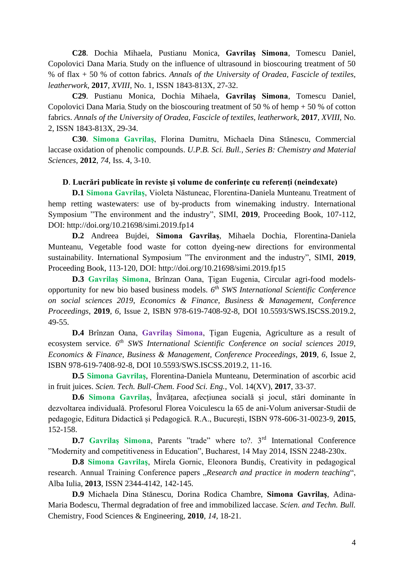**C28**. Dochia Mihaela, Pustianu Monica, **Gavrilaş Simona**, Tomescu Daniel, Copolovici Dana Maria, Study on the influence of ultrasound in bioscouring treatment of 50 % of flax + 50 % of cotton fabrics. *Annals of the University of Oradea, Fascicle of textiles, leatherwork*, **2017**, *XVIII*, No. 1, ISSN 1843-813X, 27-32.

**C29**. Pustianu Monica, Dochia Mihaela, **Gavrilaş Simona**, Tomescu Daniel, Copolovici Dana Maria, Study on the bioscouring treatment of 50 % of hemp + 50 % of cotton fabrics. *Annals of the University of Oradea, Fascicle of textiles, leatherwork*, **2017**, *XVIII*, No. 2, ISSN 1843-813X, 29-34.

**C30**. **Simona Gavrilaş**, Florina Dumitru, Michaela Dina Stănescu, Commercial laccase oxidation of phenolic compounds. *U.P.B. Sci. Bull., Series B: Chemistry and Material Sciences*, **2012**, *74*, Iss. 4, 3-10.

# **D**. **Lucrări publicate în reviste şi volume de conferinţe cu referenţi (neindexate)**

**D.1 Simona Gavrilaș**, Violeta Năstuneac, Florentina-Daniela Munteanu, Treatment of hemp retting wastewaters: use of by-products from winemaking industry. International Symposium "The environment and the industry", SIMI, **2019**, Proceeding Book, 107-112, DOI:<http://doi.org/10.21698/simi.2019.fp14>

**D.2** Andreea Bujdei, **Simona Gavrilaș**, Mihaela Dochia, Florentina-Daniela Munteanu, Vegetable food waste for cotton dyeing-new directions for environmental sustainability. International Symposium "The environment and the industry", SIMI, **2019**, Proceeding Book, 113-120, DOI: [http://doi.org/10.21698/simi.2019.fp15](http://doi.org/10.21698/simi.2019.fp14)

**D.3 Gavrilaș Simona**, Brînzan Oana, Țigan Eugenia, Circular agri-food modelsopportunity for new bio based business models. *6 th SWS International Scientific Conference on social sciences 2019*, *Economics & Finance, Business & Management*, *Conference Proceedings*, **2019**, *6*, Issue 2, ISBN 978-619-7408-92-8, DOI 10.5593/SWS.ISCSS.2019.2, 49-55.

**D.4** Brînzan Oana, **Gavrilaș Simona**, Țigan Eugenia, Agriculture as a result of ecosystem service. *6 th SWS International Scientific Conference on social sciences 2019*, *Economics & Finance, Business & Management*, *Conference Proceedings*, **2019**, *6*, Issue 2, ISBN 978-619-7408-92-8, DOI 10.5593/SWS.ISCSS.2019.2, 11-16.

**D.5 Simona Gavrilaş**, Florentina-Daniela Munteanu, Determination of ascorbic acid in fruit juices. *Scien. Tech. Bull-Chem. Food Sci. Eng.*, Vol. 14(XV), **2017**, 33-37.

**D.6 Simona Gavrilaș**, Învățarea, afecțiunea socială și jocul, stări dominante în dezvoltarea individuală. Profesorul Florea Voiculescu la 65 de ani-Volum aniversar-Studii de pedagogie, Editura Didactică și Pedagogică. R.A., București, ISBN 978-606-31-0023-9, **2015**, 152-158.

**D.7** Gavrilaș Simona, Parents "trade" where to?. 3<sup>rd</sup> International Conference "Modernity and competitiveness in Education", Bucharest, 14 May 2014, ISSN 2248-230x.

**D.8 Simona Gavrilaş**, Mirela Gornic, Eleonora Bundiş, Creativity in pedagogical research. Annual Training Conference papers "Research and practice in modern teaching", Alba Iulia, **2013**, ISSN 2344-4142, 142-145.

**D.9** Michaela Dina Stănescu, Dorina Rodica Chambre, **Simona Gavrilaş**, Adina-Maria Bodescu, Thermal degradation of free and immobilized laccase. *Scien. and Techn. Bull.* Chemistry, Food Sciences & Engineering, **2010**, *14*, 18-21.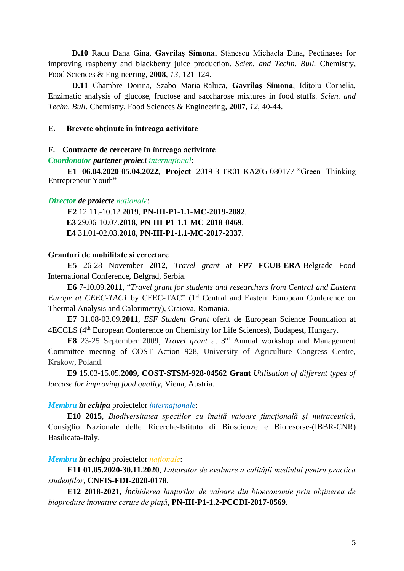**D.10** Radu Dana Gina, **Gavrilaş Simona**, Stănescu Michaela Dina, Pectinases for improving raspberry and blackberry juice production. *Scien. and Techn. Bull.* Chemistry, Food Sciences & Engineering, **2008**, *13*, 121-124.

**D.11** Chambre Dorina, Szabo Maria-Raluca, **Gavrilaş Simona**, Idiţoiu Cornelia, Enzimatic analysis of glucose, fructose and saccharose mixtures in food stuffs. *Scien. and Techn. Bull.* Chemistry, Food Sciences & Engineering, **2007**, *12*, 40-44.

## **E. Brevete obţinute în întreaga activitate**

### **F. Contracte de cercetare în întreaga activitate**

*Coordonator partener proiect internațional*:

**E1 06.04.2020-05.04.2022**, **Project** 2019-3-TR01-KA205-080177-"Green Thinking Entrepreneur Youth"

## *Director de proiecte naționale*:

**E2** 12.11.-10.12.**2019**, **PN-III-P1-1.1-MC-2019-2082**. **E3** 29.06-10.07.**2018**, **PN-III-P1-1.1-MC-2018-0469**. **E4** 31.01-02.03.**2018**, **PN-III-P1-1.1-MC-2017-2337**.

# **Granturi de mobilitate și cercetare**

**E5** 26-28 November **2012**, *Travel grant* at **FP7 FCUB-ERA**-Belgrade Food International Conference, Belgrad, Serbia.

**E6** 7-10.09.**2011**, "*Travel grant for students and researchers from Central and Eastern Europe at CEEC-TAC1* by CEEC-TAC" (1<sup>st</sup> Central and Eastern European Conference on Thermal Analysis and Calorimetry), Craiova, Romania.

**E7** 31.08-03.09.**2011**, *ESF Student Grant* oferit de European Science Foundation at 4ECCLS (4th European Conference on Chemistry for Life Sciences), Budapest, Hungary.

E8 23-25 September 2009, *Travel grant* at 3<sup>rd</sup> Annual workshop and Management Committee meeting of COST Action 928, University of Agriculture Congress Centre, Krakow, Poland.

**E9** 15.03-15.05.**2009**, **COST-STSM-928-04562 Grant** *Utilisation of different types of laccase for improving food quality*, Viena, Austria.

### *Membru în echipa* proiectelor *internaționale*:

**E10 2015**, *Biodiversitatea speciilor cu înaltă valoare funcțională și nutraceutică*, Consiglio Nazionale delle Ricerche-Istituto di Bioscienze e Bioresorse-(IBBR-CNR) Basilicata-Italy.

## *Membru în echipa* proiectelor *naționale*:

**E11 01.05.2020-30.11.2020**, *Laborator de evaluare a calității mediului pentru practica studenților*, **CNFIS-FDI-2020-0178**.

**E12 2018**-**2021***, Închiderea lanțurilor de valoare din bioeconomie prin obținerea de bioproduse inovative cerute de piață,* **PN-III-P1-1.2-PCCDI-2017-0569**.